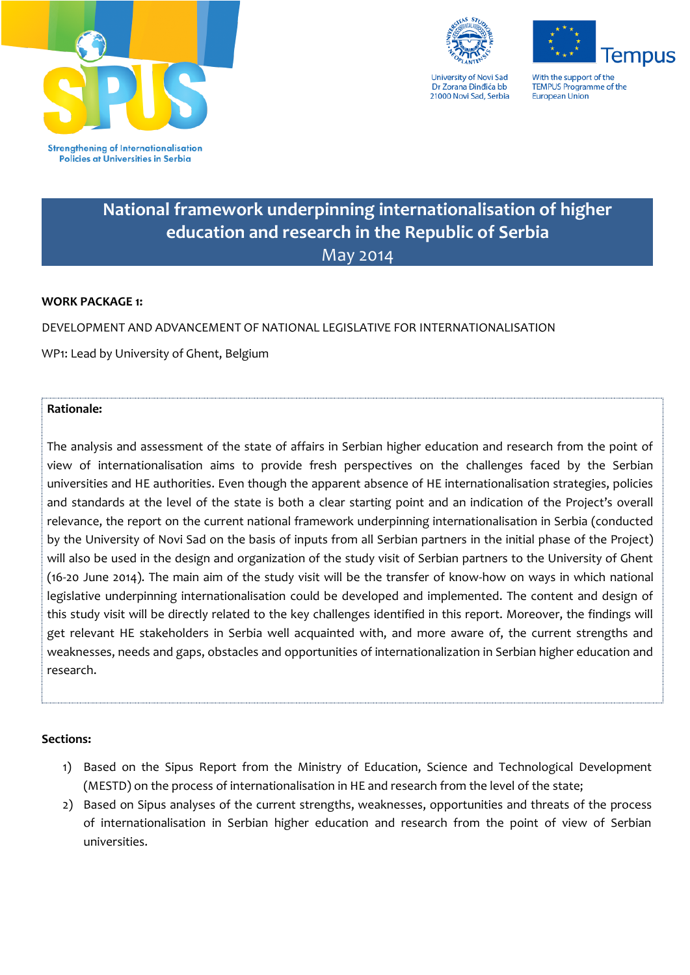





With the support of the **TEMPUS Programme of the** European Union

# **National framework underpinning internationalisation of higher education and research in the Republic of Serbia** May 2014

## **WORK PACKAGE 1:**

DEVELOPMENT AND ADVANCEMENT OF NATIONAL LEGISLATIVE FOR INTERNATIONALISATION

WP1: Lead by University of Ghent, Belgium

## **Rationale:**

The analysis and assessment of the state of affairs in Serbian higher education and research from the point of view of internationalisation aims to provide fresh perspectives on the challenges faced by the Serbian universities and HE authorities. Even though the apparent absence of HE internationalisation strategies, policies and standards at the level of the state is both a clear starting point and an indication of the Project's overall relevance, the report on the current national framework underpinning internationalisation in Serbia (conducted by the University of Novi Sad on the basis of inputs from all Serbian partners in the initial phase of the Project) will also be used in the design and organization of the study visit of Serbian partners to the University of Ghent (16-20 June 2014). The main aim of the study visit will be the transfer of know-how on ways in which national legislative underpinning internationalisation could be developed and implemented. The content and design of this study visit will be directly related to the key challenges identified in this report. Moreover, the findings will get relevant HE stakeholders in Serbia well acquainted with, and more aware of, the current strengths and weaknesses, needs and gaps, obstacles and opportunities of internationalization in Serbian higher education and research.

#### **Sections:**

- 1) Based on the Sipus Report from the Ministry of Education, Science and Technological Development (MESTD) on the process of internationalisation in HE and research from the level of the state;
- 2) Based on Sipus analyses of the current strengths, weaknesses, opportunities and threats of the process of internationalisation in Serbian higher education and research from the point of view of Serbian universities.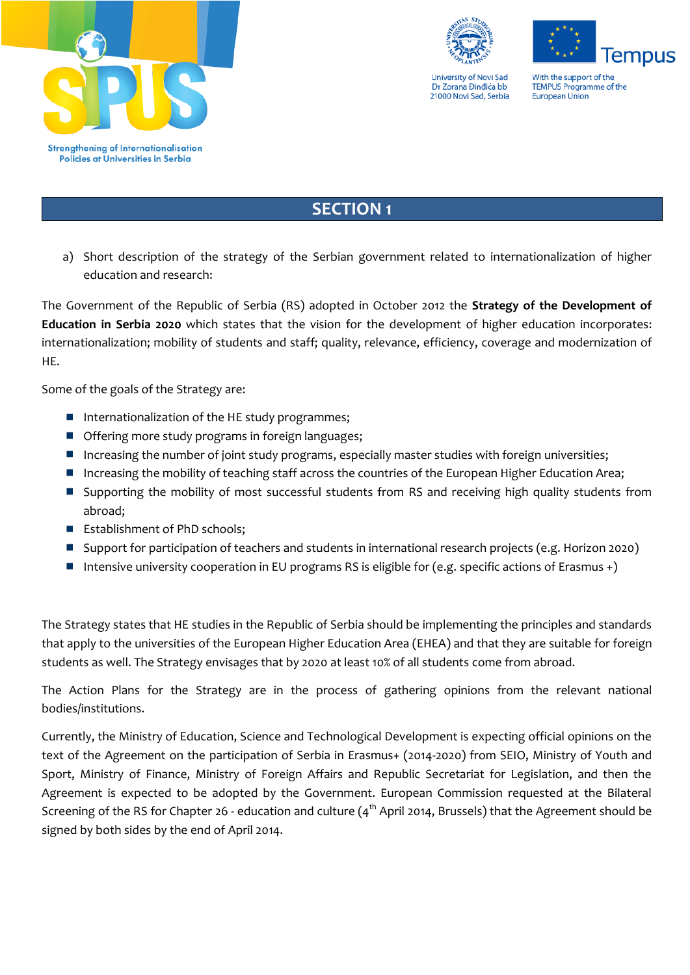





With the support of the **TEMPUS Programme of the** European Union

# **SECTION 1**

a) Short description of the strategy of the Serbian government related to internationalization of higher education and research:

The Government of the Republic of Serbia (RS) adopted in October 2012 the **Strategy of the Development of Education in Serbia 2020** which states that the vision for the development of higher education incorporates: internationalization; mobility of students and staff; quality, relevance, efficiency, coverage and modernization of HE.

Some of the goals of the Strategy are:

- **I** Internationalization of the HE study programmes;
- **Offering more study programs in foreign languages;**
- **I** Increasing the number of joint study programs, especially master studies with foreign universities;
- Increasing the mobility of teaching staff across the countries of the European Higher Education Area;
- Supporting the mobility of most successful students from RS and receiving high quality students from abroad;
- Establishment of PhD schools;
- **Support for participation of teachers and students in international research projects (e.g. Horizon 2020)**
- Intensive university cooperation in EU programs RS is eligible for (e.g. specific actions of Erasmus +)

The Strategy states that HE studies in the Republic of Serbia should be implementing the principles and standards that apply to the universities of the European Higher Education Area (EHEA) and that they are suitable for foreign students as well. The Strategy envisages that by 2020 at least 10% of all students come from abroad.

The Action Plans for the Strategy are in the process of gathering opinions from the relevant national bodies/institutions.

Currently, the Ministry of Education, Science and Technological Development is expecting official opinions on the text of the Agreement on the participation of Serbia in Erasmus+ (2014-2020) from SEIO, Ministry of Youth and Sport, Ministry of Finance, Ministry of Foreign Affairs and Republic Secretariat for Legislation, and then the Agreement is expected to be adopted by the Government. European Commission requested at the Bilateral Screening of the RS for Chapter 26 - education and culture  $(4^{th}$  April 2014, Brussels) that the Agreement should be signed by both sides by the end of April 2014.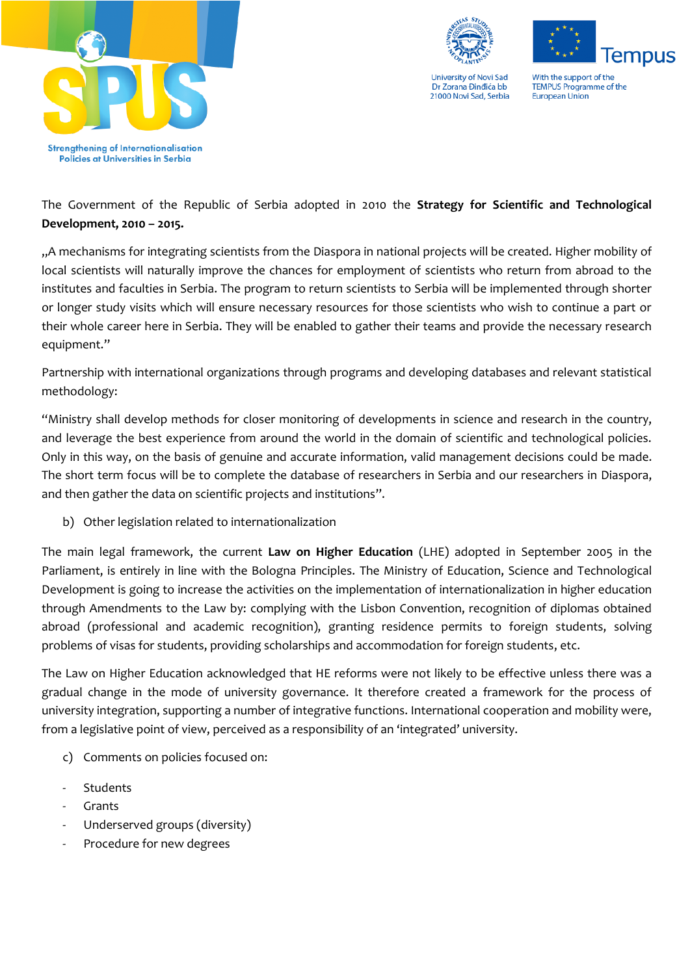



**Tempus** With the support of the **TEMPUS Programme of the** European Union

The Government of the Republic of Serbia adopted in 2010 the **Strategy for Scientific and Technological Development, 2010 – 2015.**

"A mechanisms for integrating scientists from the Diaspora in national projects will be created. Higher mobility of local scientists will naturally improve the chances for employment of scientists who return from abroad to the institutes and faculties in Serbia. The program to return scientists to Serbia will be implemented through shorter or longer study visits which will ensure necessary resources for those scientists who wish to continue a part or their whole career here in Serbia. They will be enabled to gather their teams and provide the necessary research equipment."

Partnership with international organizations through programs and developing databases and relevant statistical methodology:

"Ministry shall develop methods for closer monitoring of developments in science and research in the country, and leverage the best experience from around the world in the domain of scientific and technological policies. Only in this way, on the basis of genuine and accurate information, valid management decisions could be made. The short term focus will be to complete the database of researchers in Serbia and our researchers in Diaspora, and then gather the data on scientific projects and institutions".

b) Other legislation related to internationalization

The main legal framework, the current **Law on Higher Education** (LHE) adopted in September 2005 in the Parliament, is entirely in line with the Bologna Principles. The Ministry of Education, Science and Technological Development is going to increase the activities on the implementation of internationalization in higher education through Amendments to the Law by: complying with the Lisbon Convention, recognition of diplomas obtained abroad (professional and academic recognition), granting residence permits to foreign students, solving problems of visas for students, providing scholarships and accommodation for foreign students, etc.

The Law on Higher Education acknowledged that HE reforms were not likely to be effective unless there was a gradual change in the mode of university governance. It therefore created a framework for the process of university integration, supporting a number of integrative functions. International cooperation and mobility were, from a legislative point of view, perceived as a responsibility of an 'integrated' university.

- c) Comments on policies focused on:
- **Students**
- **Grants**
- Underserved groups (diversity)
- Procedure for new degrees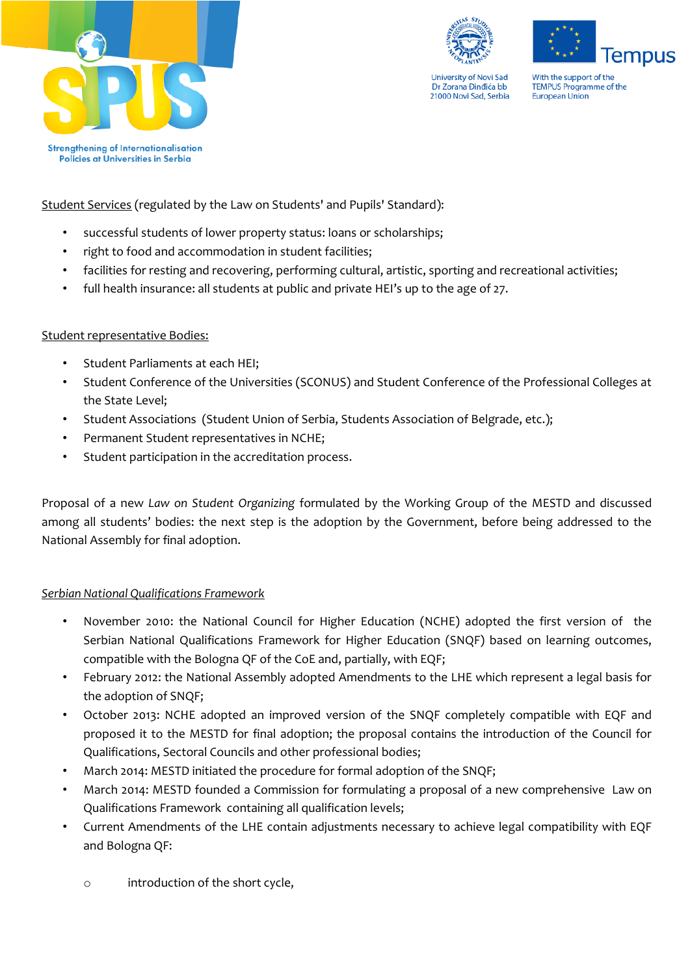





With the support of the **TEMPUS Programme of the** European Union

**Strengthening of Internationalisation** Policies at Universities in Serbia

Student Services (regulated by the Law on Students' and Pupils' Standard):

- successful students of lower property status: loans or scholarships;
- right to food and accommodation in student facilities;
- facilities for resting and recovering, performing cultural, artistic, sporting and recreational activities;
- full health insurance: all students at public and private HEI's up to the age of 27.

# Student representative Bodies:

- Student Parliaments at each HEI;
- Student Conference of the Universities (SCONUS) and Student Conference of the Professional Colleges at the State Level;
- Student Associations (Student Union of Serbia, Students Association of Belgrade, etc.);
- Permanent Student representatives in NCHE;
- Student participation in the accreditation process.

Proposal of a new *Law on Student Organizing* formulated by the Working Group of the MESTD and discussed among all students' bodies: the next step is the adoption by the Government, before being addressed to the National Assembly for final adoption.

# *Serbian National Qualifications Framework*

- November 2010: the National Council for Higher Education (NCHE) adopted the first version of the Serbian National Qualifications Framework for Higher Education (SNQF) based on learning outcomes, compatible with the Bologna QF of the CoE and, partially, with EQF;
- February 2012: the National Assembly adopted Amendments to the LHE which represent a legal basis for the adoption of SNQF;
- October 2013: NCHE adopted an improved version of the SNQF completely compatible with EQF and proposed it to the MESTD for final adoption; the proposal contains the introduction of the Council for Qualifications, Sectoral Councils and other professional bodies;
- March 2014: MESTD initiated the procedure for formal adoption of the SNQF;
- March 2014: MESTD founded a Commission for formulating a proposal of a new comprehensive Law on Qualifications Framework containing all qualification levels;
- Current Amendments of the LHE contain adjustments necessary to achieve legal compatibility with EQF and Bologna QF:
	- o introduction of the short cycle,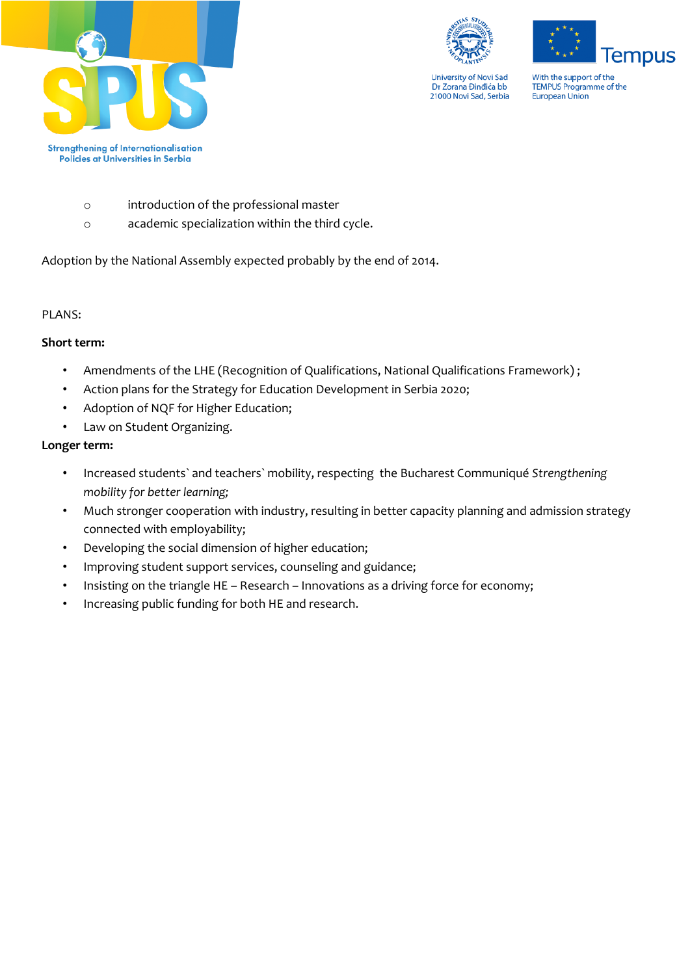

**lempus** 

With the support of the TEMPUS Programme of the<br>European Union

- o introduction of the professional master
- o academic specialization within the third cycle.

Adoption by the National Assembly expected probably by the end of 2014.

## PLANS:

## **Short term:**

- Amendments of the LHE (Recognition of Qualifications, National Qualifications Framework) ;
- Action plans for the Strategy for Education Development in Serbia 2020;
- Adoption of NQF for Higher Education;
- Law on Student Organizing.

## **Longer term:**

- Increased students` and teachers` mobility, respecting the Bucharest Communiqué *Strengthening mobility for better learning;*
- Much stronger cooperation with industry, resulting in better capacity planning and admission strategy connected with employability;
- Developing the social dimension of higher education;
- Improving student support services, counseling and guidance;
- Insisting on the triangle HE Research Innovations as a driving force for economy;
- Increasing public funding for both HE and research.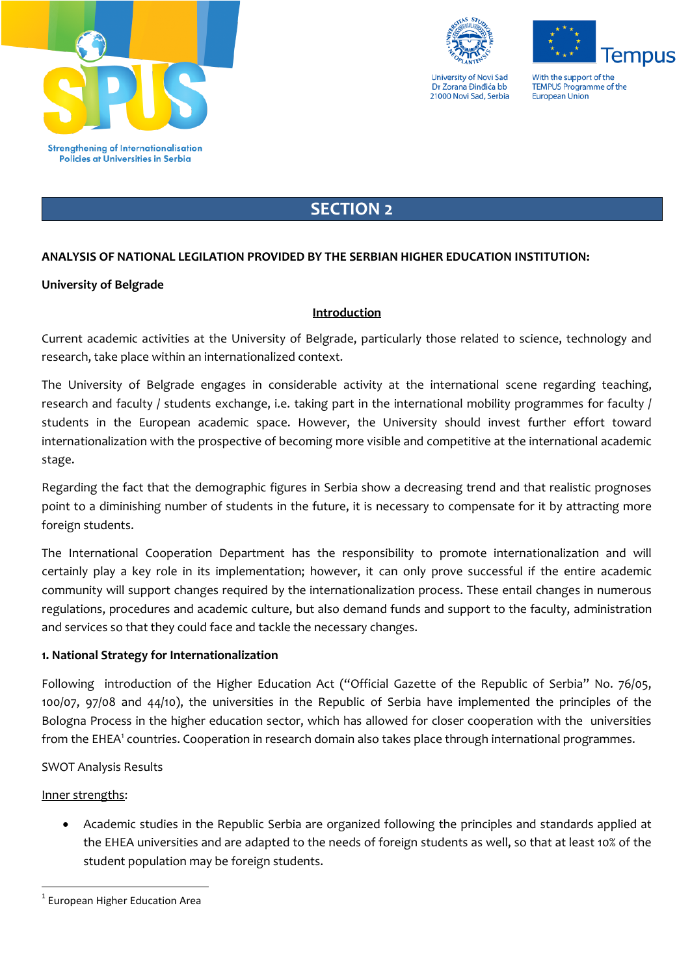



With the support of the **TEMPUS Programme of the** European Union

**lempus** 

# **SECTION 2**

# **ANALYSIS OF NATIONAL LEGILATION PROVIDED BY THE SERBIAN HIGHER EDUCATION INSTITUTION:**

# **University of Belgrade**

# **Introduction**

Current academic activities at the University of Belgrade, particularly those related to science, technology and research, take place within an internationalized context.

The University of Belgrade engages in considerable activity at the international scene regarding teaching, research and faculty / students exchange, i.e. taking part in the international mobility programmes for faculty / students in the European academic space. However, the University should invest further effort toward internationalization with the prospective of becoming more visible and competitive at the international academic stage.

Regarding the fact that the demographic figures in Serbia show a decreasing trend and that realistic prognoses point to a diminishing number of students in the future, it is necessary to compensate for it by attracting more foreign students.

The International Cooperation Department has the responsibility to promote internationalization and will certainly play a key role in its implementation; however, it can only prove successful if the entire academic community will support changes required by the internationalization process. These entail changes in numerous regulations, procedures and academic culture, but also demand funds and support to the faculty, administration and services so that they could face and tackle the necessary changes.

# **1. National Strategy for Internationalization**

Following introduction of the Higher Education Act ("Official Gazette of the Republic of Serbia" No. 76/05, 100/07, 97/08 and 44/10), the universities in the Republic of Serbia have implemented the principles of the Bologna Process in the higher education sector, which has allowed for closer cooperation with the universities from the EHEA<sup>1</sup> countries. Cooperation in research domain also takes place through international programmes.

# SWOT Analysis Results

# Inner strengths:

**.** 

 Academic studies in the Republic Serbia are organized following the principles and standards applied at the EHEA universities and are adapted to the needs of foreign students as well, so that at least 10% of the student population may be foreign students.

<sup>&</sup>lt;sup>1</sup> European Higher Education Area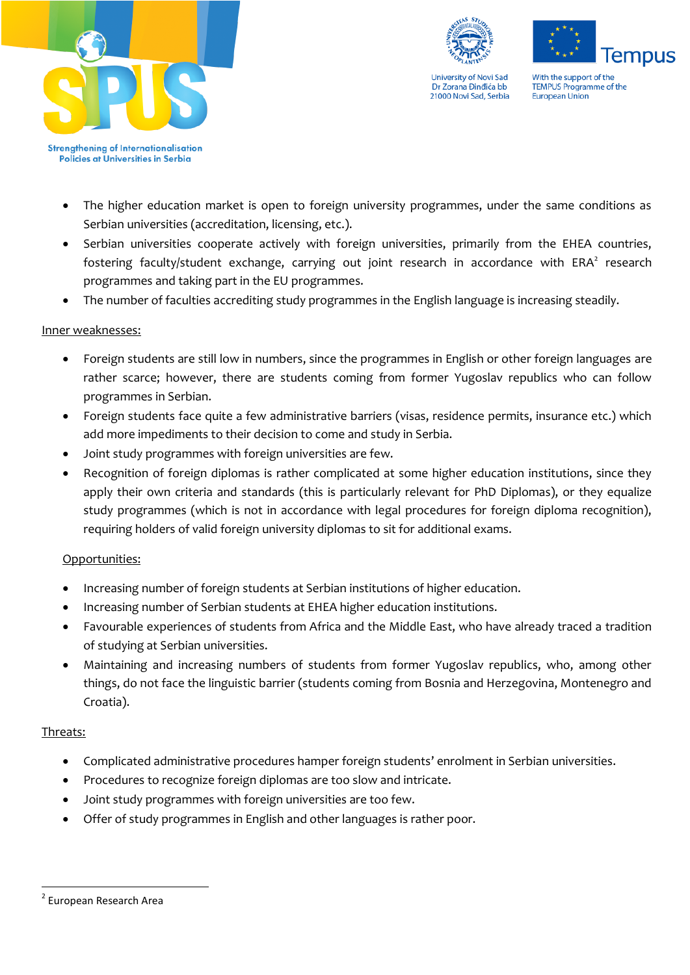





With the support of the **TEMPUS Programme of the** European Union

**Strengthening of Internationalisation** Policies at Universities in Serbia

- The higher education market is open to foreign university programmes, under the same conditions as Serbian universities (accreditation, licensing, etc.).
- Serbian universities cooperate actively with foreign universities, primarily from the EHEA countries, fostering faculty/student exchange, carrying out joint research in accordance with  $ERA<sup>2</sup>$  research programmes and taking part in the EU programmes.
- The number of faculties accrediting study programmes in the English language is increasing steadily.

# Inner weaknesses:

- Foreign students are still low in numbers, since the programmes in English or other foreign languages are rather scarce; however, there are students coming from former Yugoslav republics who can follow programmes in Serbian.
- Foreign students face quite a few administrative barriers (visas, residence permits, insurance etc.) which add more impediments to their decision to come and study in Serbia.
- Joint study programmes with foreign universities are few.
- Recognition of foreign diplomas is rather complicated at some higher education institutions, since they apply their own criteria and standards (this is particularly relevant for PhD Diplomas), or they equalize study programmes (which is not in accordance with legal procedures for foreign diploma recognition), requiring holders of valid foreign university diplomas to sit for additional exams.

# Opportunities:

- Increasing number of foreign students at Serbian institutions of higher education.
- Increasing number of Serbian students at EHEA higher education institutions.
- Favourable experiences of students from Africa and the Middle East, who have already traced a tradition of studying at Serbian universities.
- Maintaining and increasing numbers of students from former Yugoslav republics, who, among other things, do not face the linguistic barrier (students coming from Bosnia and Herzegovina, Montenegro and Croatia).

# Threats:

**.** 

- Complicated administrative procedures hamper foreign students' enrolment in Serbian universities.
- Procedures to recognize foreign diplomas are too slow and intricate.
- Joint study programmes with foreign universities are too few.
- Offer of study programmes in English and other languages is rather poor.

<sup>&</sup>lt;sup>2</sup> European Research Area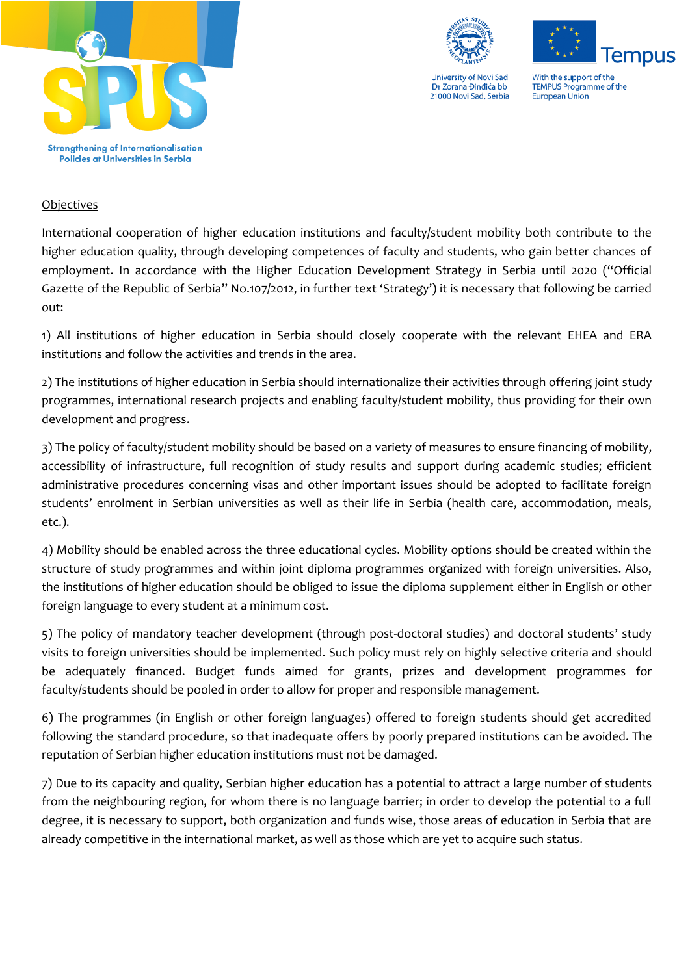





With the support of the **TEMPUS Programme of the** European Union

## **Objectives**

International cooperation of higher education institutions and faculty/student mobility both contribute to the higher education quality, through developing competences of faculty and students, who gain better chances of employment. In accordance with the Higher Education Development Strategy in Serbia until 2020 ("Official Gazette of the Republic of Serbia" No.107/2012, in further text 'Strategy') it is necessary that following be carried out:

1) All institutions of higher education in Serbia should closely cooperate with the relevant EHEA and ERA institutions and follow the activities and trends in the area.

2) The institutions of higher education in Serbia should internationalize their activities through offering joint study programmes, international research projects and enabling faculty/student mobility, thus providing for their own development and progress.

3) The policy of faculty/student mobility should be based on a variety of measures to ensure financing of mobility, accessibility of infrastructure, full recognition of study results and support during academic studies; efficient administrative procedures concerning visas and other important issues should be adopted to facilitate foreign students' enrolment in Serbian universities as well as their life in Serbia (health care, accommodation, meals, etc.).

4) Mobility should be enabled across the three educational cycles. Mobility options should be created within the structure of study programmes and within joint diploma programmes organized with foreign universities. Also, the institutions of higher education should be obliged to issue the diploma supplement either in English or other foreign language to every student at a minimum cost.

5) The policy of mandatory teacher development (through post-doctoral studies) and doctoral students' study visits to foreign universities should be implemented. Such policy must rely on highly selective criteria and should be adequately financed. Budget funds aimed for grants, prizes and development programmes for faculty/students should be pooled in order to allow for proper and responsible management.

6) The programmes (in English or other foreign languages) offered to foreign students should get accredited following the standard procedure, so that inadequate offers by poorly prepared institutions can be avoided. The reputation of Serbian higher education institutions must not be damaged.

7) Due to its capacity and quality, Serbian higher education has a potential to attract a large number of students from the neighbouring region, for whom there is no language barrier; in order to develop the potential to a full degree, it is necessary to support, both organization and funds wise, those areas of education in Serbia that are already competitive in the international market, as well as those which are yet to acquire such status.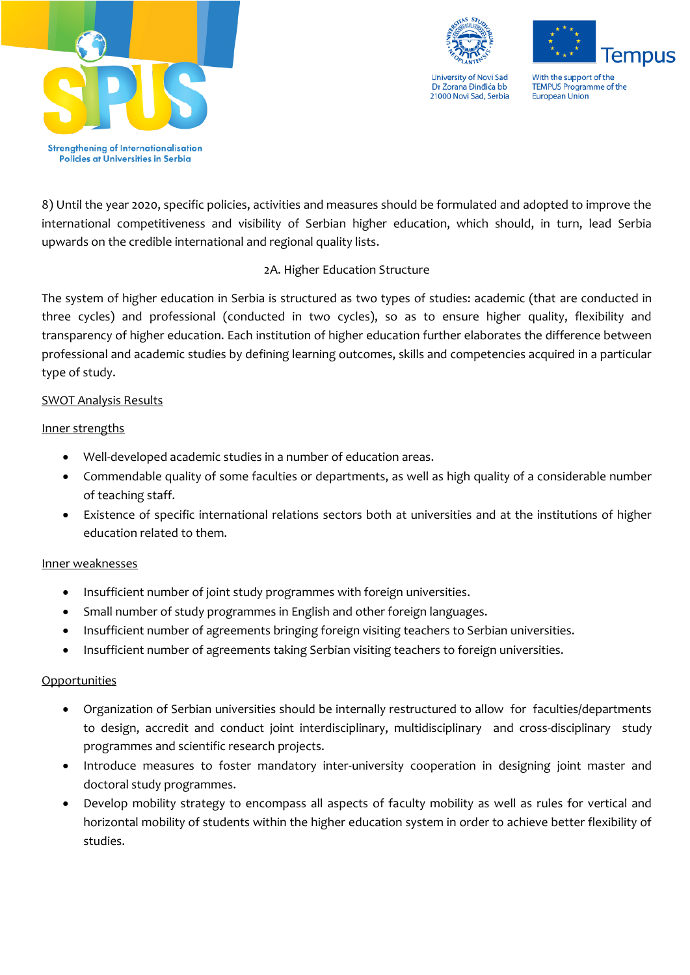



**lempus** With the support of the **TEMPUS Programme of the** 

European Union

8) Until the year 2020, specific policies, activities and measures should be formulated and adopted to improve the international competitiveness and visibility of Serbian higher education, which should, in turn, lead Serbia upwards on the credible international and regional quality lists.

# 2A. Higher Education Structure

The system of higher education in Serbia is structured as two types of studies: academic (that are conducted in three cycles) and professional (conducted in two cycles), so as to ensure higher quality, flexibility and transparency of higher education. Each institution of higher education further elaborates the difference between professional and academic studies by defining learning outcomes, skills and competencies acquired in a particular type of study.

# SWOT Analysis Results

# Inner strengths

- Well-developed academic studies in a number of education areas.
- Commendable quality of some faculties or departments, as well as high quality of a considerable number of teaching staff.
- Existence of specific international relations sectors both at universities and at the institutions of higher education related to them.

# Inner weaknesses

- Insufficient number of joint study programmes with foreign universities.
- Small number of study programmes in English and other foreign languages.
- Insufficient number of agreements bringing foreign visiting teachers to Serbian universities.
- Insufficient number of agreements taking Serbian visiting teachers to foreign universities.

# **Opportunities**

- Organization of Serbian universities should be internally restructured to allow for faculties/departments to design, accredit and conduct joint interdisciplinary, multidisciplinary and cross-disciplinary study programmes and scientific research projects.
- Introduce measures to foster mandatory inter-university cooperation in designing joint master and doctoral study programmes.
- Develop mobility strategy to encompass all aspects of faculty mobility as well as rules for vertical and horizontal mobility of students within the higher education system in order to achieve better flexibility of studies.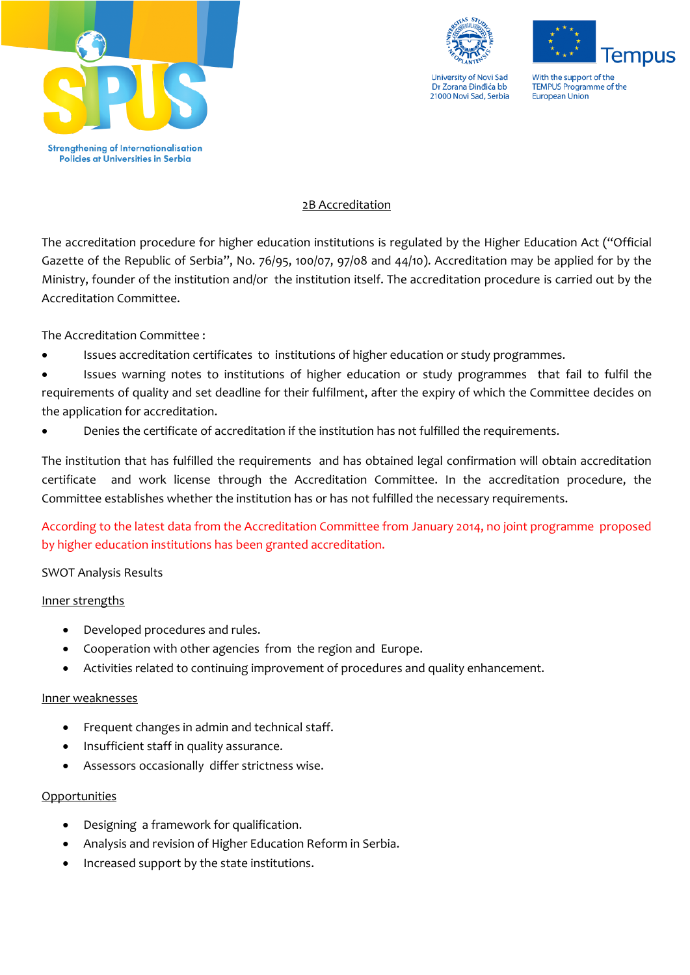



**lempus** With the support of the **TEMPUS Programme of the** European Union

## 2B Accreditation

The accreditation procedure for higher education institutions is regulated by the Higher Education Act ("Official Gazette of the Republic of Serbia", No. 76/95, 100/07, 97/08 and 44/10). Accreditation may be applied for by the Ministry, founder of the institution and/or the institution itself. The accreditation procedure is carried out by the Accreditation Committee.

The Accreditation Committee :

Issues accreditation certificates to institutions of higher education or study programmes.

 Issues warning notes to institutions of higher education or study programmes that fail to fulfil the requirements of quality and set deadline for their fulfilment, after the expiry of which the Committee decides on the application for accreditation.

Denies the certificate of accreditation if the institution has not fulfilled the requirements.

The institution that has fulfilled the requirements and has obtained legal confirmation will obtain accreditation certificate and work license through the Accreditation Committee. In the accreditation procedure, the Committee establishes whether the institution has or has not fulfilled the necessary requirements.

According to the latest data from the Accreditation Committee from January 2014, no joint programme proposed by higher education institutions has been granted accreditation.

# SWOT Analysis Results

# Inner strengths

- Developed procedures and rules.
- Cooperation with other agencies from the region and Europe.
- Activities related to continuing improvement of procedures and quality enhancement.

#### Inner weaknesses

- Frequent changes in admin and technical staff.
- Insufficient staff in quality assurance.
- Assessors occasionally differ strictness wise.

# Opportunities

- Designing a framework for qualification.
- Analysis and revision of Higher Education Reform in Serbia.
- Increased support by the state institutions.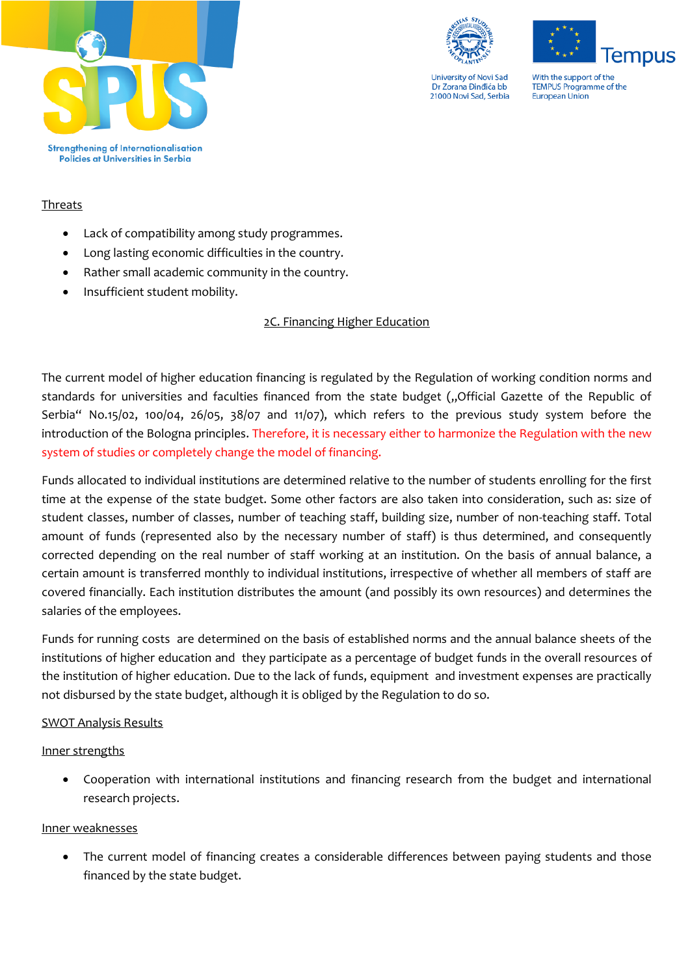



**Tempus** With the support of the **TEMPUS Programme of the** 

European Union

## Threats

- Lack of compatibility among study programmes.
- Long lasting economic difficulties in the country.
- Rather small academic community in the country.
- Insufficient student mobility.

## 2C. Financing Higher Education

The current model of higher education financing is regulated by the Regulation of working condition norms and standards for universities and faculties financed from the state budget ("Official Gazette of the Republic of Serbia" No.15/02, 100/04, 26/05, 38/07 and 11/07), which refers to the previous study system before the introduction of the Bologna principles. Therefore, it is necessary either to harmonize the Regulation with the new system of studies or completely change the model of financing.

Funds allocated to individual institutions are determined relative to the number of students enrolling for the first time at the expense of the state budget. Some other factors are also taken into consideration, such as: size of student classes, number of classes, number of teaching staff, building size, number of non-teaching staff. Total amount of funds (represented also by the necessary number of staff) is thus determined, and consequently corrected depending on the real number of staff working at an institution. On the basis of annual balance, a certain amount is transferred monthly to individual institutions, irrespective of whether all members of staff are covered financially. Each institution distributes the amount (and possibly its own resources) and determines the salaries of the employees.

Funds for running costs are determined on the basis of established norms and the annual balance sheets of the institutions of higher education and they participate as a percentage of budget funds in the overall resources of the institution of higher education. Due to the lack of funds, equipment and investment expenses are practically not disbursed by the state budget, although it is obliged by the Regulation to do so.

#### SWOT Analysis Results

#### Inner strengths

 Cooperation with international institutions and financing research from the budget and international research projects.

#### Inner weaknesses

 The current model of financing creates a considerable differences between paying students and those financed by the state budget.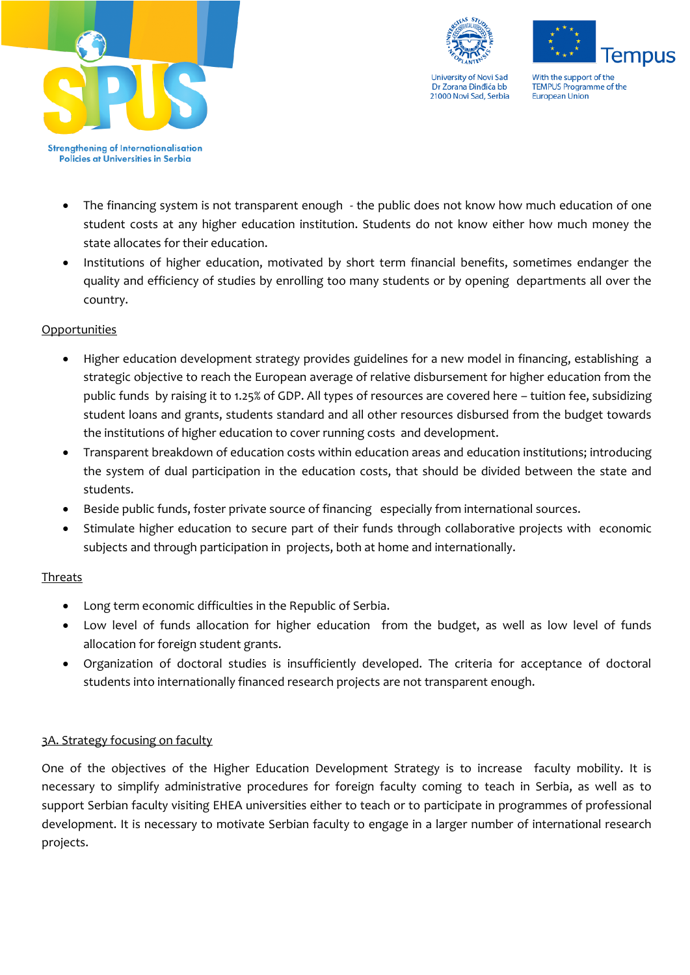

Policies at Universities in Serbia



**University of Novi Sad** Dr Zorana Đinđića bb 21000 Novi Sad, Serbia



With the support of the **TEMPUS Programme of the** European Union

The financing system is not transparent enough - the public does not know how much education of one

- student costs at any higher education institution. Students do not know either how much money the state allocates for their education.
- Institutions of higher education, motivated by short term financial benefits, sometimes endanger the quality and efficiency of studies by enrolling too many students or by opening departments all over the country.

# **Opportunities**

- Higher education development strategy provides guidelines for a new model in financing, establishing a strategic objective to reach the European average of relative disbursement for higher education from the public funds by raising it to 1.25% of GDP. All types of resources are covered here – tuition fee, subsidizing student loans and grants, students standard and all other resources disbursed from the budget towards the institutions of higher education to cover running costs and development.
- Transparent breakdown of education costs within education areas and education institutions; introducing the system of dual participation in the education costs, that should be divided between the state and students.
- Beside public funds, foster private source of financing especially from international sources.
- Stimulate higher education to secure part of their funds through collaborative projects with economic subjects and through participation in projects, both at home and internationally.

# Threats

- Long term economic difficulties in the Republic of Serbia.
- Low level of funds allocation for higher education from the budget, as well as low level of funds allocation for foreign student grants.
- Organization of doctoral studies is insufficiently developed. The criteria for acceptance of doctoral students into internationally financed research projects are not transparent enough.

# 3A. Strategy focusing on faculty

One of the objectives of the Higher Education Development Strategy is to increase faculty mobility. It is necessary to simplify administrative procedures for foreign faculty coming to teach in Serbia, as well as to support Serbian faculty visiting EHEA universities either to teach or to participate in programmes of professional development. It is necessary to motivate Serbian faculty to engage in a larger number of international research projects.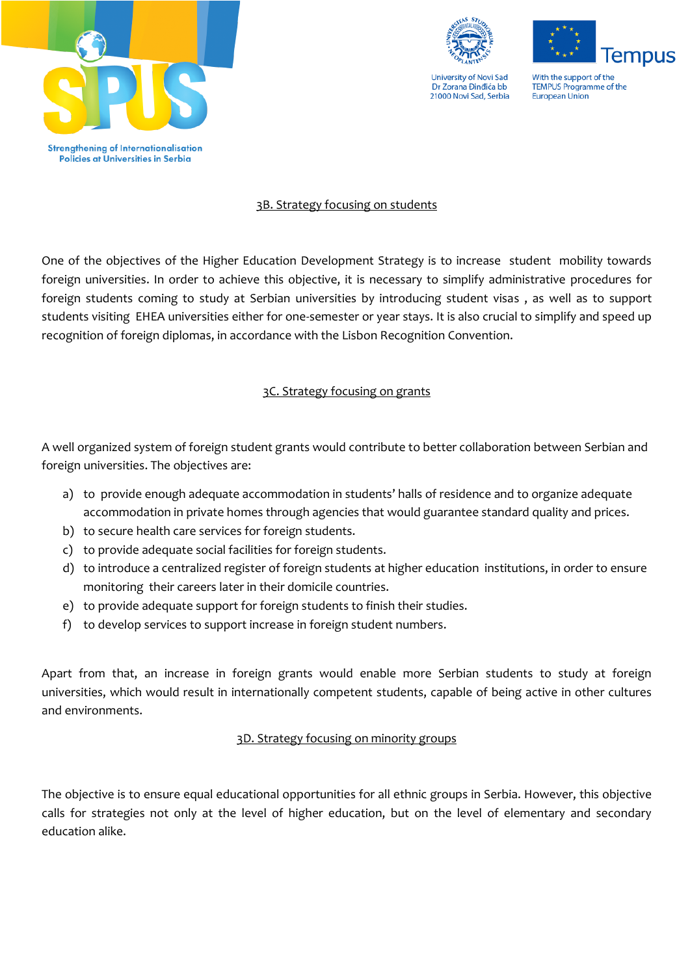



**lempus** 

With the support of the **TEMPUS Programme of the** European Union

# 3B. Strategy focusing on students

One of the objectives of the Higher Education Development Strategy is to increase student mobility towards foreign universities. In order to achieve this objective, it is necessary to simplify administrative procedures for foreign students coming to study at Serbian universities by introducing student visas , as well as to support students visiting EHEA universities either for one-semester or year stays. It is also crucial to simplify and speed up recognition of foreign diplomas, in accordance with the Lisbon Recognition Convention.

# 3C. Strategy focusing on grants

A well organized system of foreign student grants would contribute to better collaboration between Serbian and foreign universities. The objectives are:

- a) to provide enough adequate accommodation in students' halls of residence and to organize adequate accommodation in private homes through agencies that would guarantee standard quality and prices.
- b) to secure health care services for foreign students.
- c) to provide adequate social facilities for foreign students.
- d) to introduce a centralized register of foreign students at higher education institutions, in order to ensure monitoring their careers later in their domicile countries.
- e) to provide adequate support for foreign students to finish their studies.
- f) to develop services to support increase in foreign student numbers.

Apart from that, an increase in foreign grants would enable more Serbian students to study at foreign universities, which would result in internationally competent students, capable of being active in other cultures and environments.

# 3D. Strategy focusing on minority groups

The objective is to ensure equal educational opportunities for all ethnic groups in Serbia. However, this objective calls for strategies not only at the level of higher education, but on the level of elementary and secondary education alike.